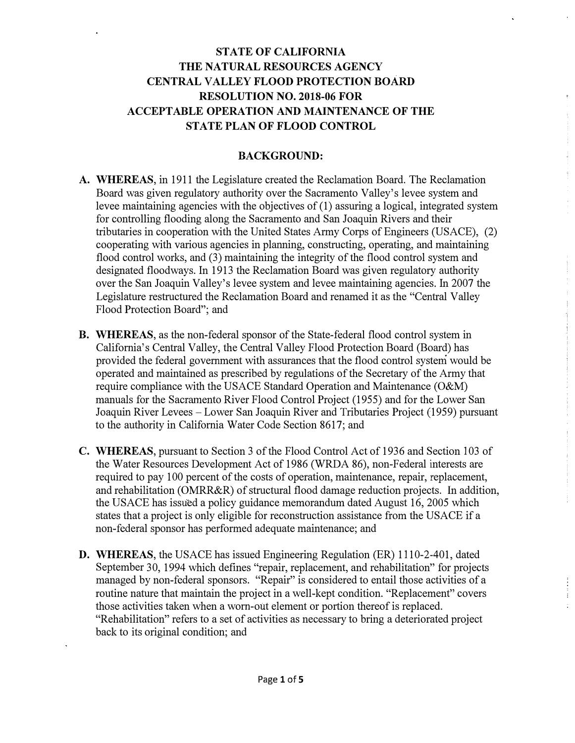# **STATE OF CALIFORNIA THE NATURAL RESOURCES AGENCY CENTRAL VALLEY FLOOD PROTECTION BOARD RESOLUTION NO. 2018-06 FOR ACCEPTABLE OPERATION AND MAINTENANCE OF THE STATE PLAN OF FLOOD CONTROL**

#### **BACKGROUND:**

Ť.

- **A. WHEREAS,** in 1911 the Legislature created the Reclamation Board. The Reclamation Board was given regulatory authority over the Sacramento Valley's levee system and levee maintaining agencies with the objectives of (1) assuring a logical, integrated system for controlling flooding along the Sacramento and San Joaquin Rivers and their tributaries in cooperation with the United States Army Corps of Engineers (USACE), (2) cooperating with various agencies in planning, constructing, operating, and maintaining flood control works, and (3) maintaining the integrity of the flood control system and designated floodways. In 1913 the Reclamation Board was given regulatory authority over the San Joaquin Valley's levee system and levee maintaining agencies. In 2007 the Legislature restructured the Reclamation Board and renamed it as the "Central Valley Flood Protection Board"; and
- **B. WHEREAS,** as the non-federal sponsor of the State-federal flood control system in California's Central Valley, the Central Valley Flood Protection Board (Board) has provided the federal government with assurances that the flood control system would be operated and maintained as prescribed by regulations of the Secretary of the Army that require compliance with the USACE Standard Operation and Maintenance (O&M) manuals for the Sacramento River Flood Control Project (1955) and for the Lower San Joaquin River Levees - Lower San Joaquin River and Tributaries Project (1959) pursuant to the authority in California Water Code Section 8617; and
- **C.** WHEREAS, pursuant to Section 3 of the Flood Control Act of 1936 and Section 103 of the Water Resources Development Act of 1986 (WRDA 86), non-Federal interests are required to pay 100 percent of the costs of operation, maintenance, repair, replacement, and rehabilitation (OMRR&R) of structural flood damage reduction projects. In addition, the USACE has issued a policy guidance memorandum dated August 16, 2005 which states that a project is only eligible for reconstruction assistance from the USACE if a non-federal sponsor has performed adequate maintenance; and
- **D. WHEREAS,** the USACE has issued Engineering Regulation (ER) 1110-2-401, dated September 30, 1994 which defines "repair, replacement, and rehabilitation" for projects managed by non-federal sponsors. "Repair" is considered to entail those activities of a routine nature that maintain the project in a well-kept condition. "Replacement" covers those activities taken when a worn-out element or portion thereof is replaced. "Rehabilitation" refers to a set of activities as necessary to bring a deteriorated project back to its original condition; and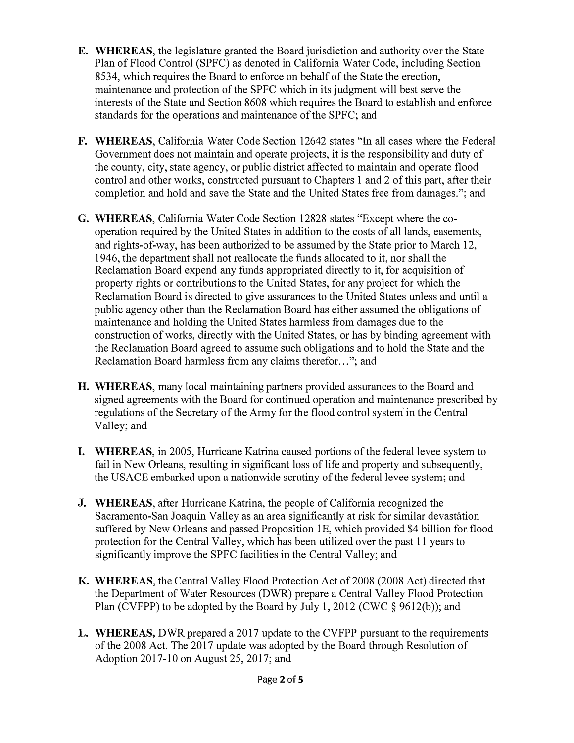- **E. WHEREAS,** the legislature granted the Board jurisdiction and authority over the State Plan of Flood Control (SPFC) as denoted in California Water Code, including Section 8534, which requires the Board to enforce on behalf of the State the erection, maintenance and protection of the SPFC which in its judgment will best serve the interests of the State and Section 8608 which requires the Board to establish and enforce standards for the operations and maintenance of the SPFC; and
- **F. WHEREAS,** California Water Code Section 12642 states "In all cases where the Federal Government does not maintain and operate projects, it is the responsibility and duty of the county, city, state agency, or public district affected to maintain and operate flood control and other works, constructed pursuant to Chapters 1 and 2 of this part, after their completion and hold and save the State and the United States free from damages."; and
- **G. WHEREAS,** California Water Code Section 12828 states "Except where the cooperation required by the United States in addition to the costs of all lands, easements, and rights-of-way, has been authorized to be assumed by the State prior to March 12, 1946, the department shall not reallocate the funds allocated to it, nor shall the Reclamation Board expend any funds appropriated directly to it, for acquisition of property rights or contributions to the United States, for any project for which the Reclamation Board is directed to give assurances to the United States unless and until a public agency other than the Reclamation Board has either assumed the obligations of maintenance and holding the United States harmless from damages due to the construction of works, directly with the United States, or has by binding agreement with the Reclamation Board agreed to assume such obligations and to hold the State and the Reclamation Board harmless from any claims therefor. .. "; and
- **H. WHEREAS,** many local maintaining partners provided assurances *to* the Board and signed agreements with the Board for continued operation and maintenance prescribed by regulations of the Secretary of the Army for the flood control system' in the Central Valley; and
- **I. WHEREAS,** in 2005, Hurricane Katrina caused portions of the federal levee system to fail in New Orleans, resulting in significant loss of life and property and subsequently, the USACE embarked upon a nationwide scrutiny of the federal levee system; and
- **J. WHEREAS,** after Hurricane Katrina, the people of California recognized the Sacramento-San Joaquin Valley as an area significantly at risk for similar devastation suffered by New Orleans and passed Proposition 1E, which provided \$4 billion for flood protection for the Central Valley, which has been utilized over the past 11 years to significantly improve the SPFC facilities in the Central Valley; and
- **K. WHEREAS,** the Central Valley Flood Protection Act of 2008 (2008 Act) directed that the Department of Water Resources (DWR) prepare a Central Valley Flood Protection Plan (CVFPP) to be adopted by the Board by July 1, 2012 (CWC § 9612(b)); and
- **L. WHEREAS,** DWR prepared a 2017 update to the CVFPP pursuant to the requirements of the 2008 Act. The 2017 update was adopted by the Board through Resolution of Adoption 2017-10 on August 25, 2017; and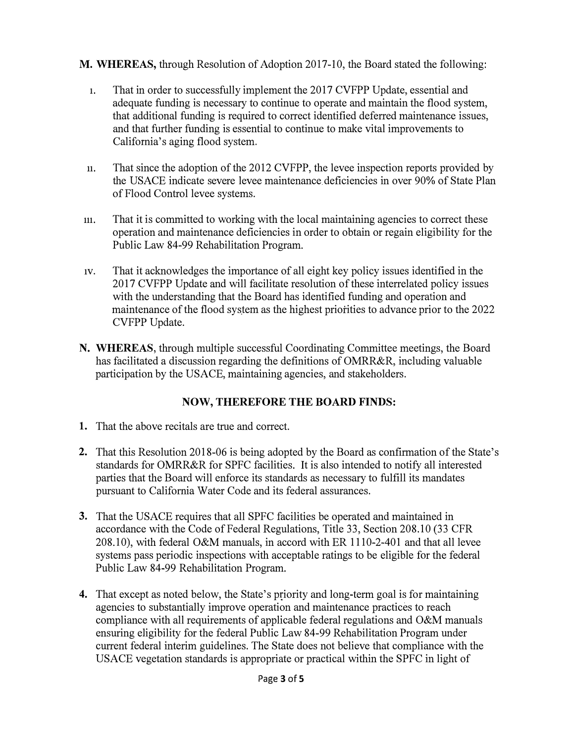### **M. WHEREAS,** through Resolution of Adoption 2017-10, the Board stated the following:

- 1. That in order to successfully implement the 2017 CVFPP Update, essential and adequate funding is necessary to continue to operate and maintain the flood system, that additional funding is required to correct identified deferred maintenance issues, and that further funding is essential to continue to make vital improvements to California's aging flood system.
- 11. That since the adoption of the 2012 CVFPP, the levee inspection reports provided by the USACE indicate severe levee maintenance.deficiencies in over 90% of State Plan of Flood Control levee systems.
- 111. That it is committed to working with the local maintaining agencies to correct these operation and maintenance deficiencies in order to obtain or regain eligibility for the Public Law 84-99 Rehabilitation Program.
- 1v. That it acknowledges the importance of all eight key policy issues identified in the 2017 CVFPP Update and will facilitate resolution of these interrelated policy issues with the understanding that the Board has identified funding and operation and maintenance of the flood system as the highest priorities to advance prior to the 2022 CVFPP Update.
- **N. WHEREAS,** through multiple successful Coordinating Committee meetings, the Board has facilitated a discussion regarding the definitions of OMRR&R, including valuable participation by the USACE, maintaining agencies, and stakeholders.

## **NOW, THEREFORE THE BOARD FINDS:**

- 1. That the above recitals are true and correct.
- 2. That this Resolution 2018-06 is being adopted by the Board as confirmation of the State's standards for OMRR&R for SPFC facilities. It is also intended to notify all interested parties that the Board will enforce its standards as necessary to fulfill its mandates pursuant to California Water Code and its federal assurances.
- **3.** That the USACE requires that all SPFC facilities be operated and maintained in accordance with the Code of Federal Regulations, Title 33, Section 208.10 (33 CFR 208.10), with federal O&M manuals, in accord with ER 1110-2-401 and that all levee systems pass periodic inspections with acceptable ratings to be eligible for the federal Public Law 84-99 Rehabilitation Program.
- **4.** That except as noted below, the State's priority and long-term goal is for maintaining agencies to substantially improve operation and maintenance practices to reach compliance with all requirements of applicable federal regulations and O&M manuals ensuring eligibility for the federal Public Law 84-99 Rehabilitation Program under current federal interim guidelines. The State does not believe that compliance with the USACE vegetation standards is appropriate or practical within the SPFC in light of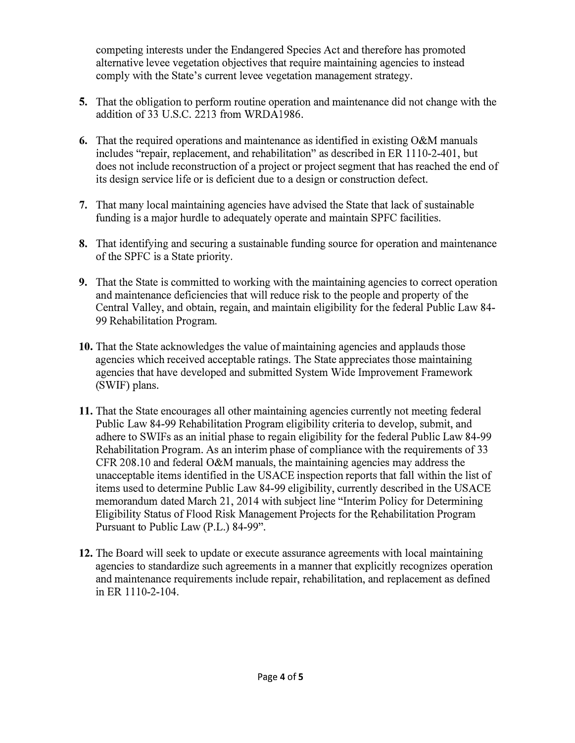competing interests under the Endangered Species Act and therefore has promoted alternative levee vegetation objectives that require maintaining agencies to instead comply with the State's current levee vegetation management strategy.

- **5.** That the obligation to perform routine operation and maintenance did not change with the addition of 33 U.S.C. 2213 from WRDA1986.
- **6.** That the required operations and maintenance as identified in existing O&M manuals includes "repair, replacement, and rehabilitation" as described in ER 1110-2-401, but does not include reconstruction of a project or project segment that has reached the end of its design service life or is deficient due to a design or construction defect.
- **7.** That many local maintaining agencies have advised the State that lack of sustainable funding is a major hurdle to adequately operate and maintain SPFC facilities.
- **8.** That identifying and securing a sustainable funding source for operation and maintenance of the SPFC is a State priority.
- **9.** That the State is committed to working with the maintaining agencies to correct operation and maintenance deficiencies that will reduce risk to the people and property of the Central Valley, and obtain, regain, and maintain eligibility for the federal Public Law 84- 99 Rehabilitation Program.
- **10.** That the State acknowledges the value of maintaining agencies and applauds those agencies which received acceptable ratings. The State appreciates those maintaining agencies that have developed and submitted System Wide Improvement Framework (SWIF) plans.
- **11.** That the State encourages all other maintaining agencies currently not meeting federal Public Law 84-99 Rehabilitation Program eligibility criteria to develop, submit, and adhere to SWIFs as an initial phase to regain eligibility for the federal Public Law 84-99 Rehabilitation Program. As an interim phase of compliance with the requirements of 33 CFR 208.10 and federal O&M manuals, the maintaining agencies may address the unacceptable items identified in the USACE inspection reports that fall within the list of items used to determine Public Law 84-99 eligibility, currently described in the USACE memorandum dated March 21, 2014 with subject line "Interim Policy for Determining Eligibility Status of Flood Risk Management Projects for the Rehabilitation Program Pursuant to Public Law (P.L.) 84-99".
- **12.** The Board will seek to update or execute assurance agreements with local maintaining agencies to standardize such agreements in a manner that explicitly recognizes operation and maintenance requirements include repair, rehabilitation, and replacement as defined in ER 1110-2-104.